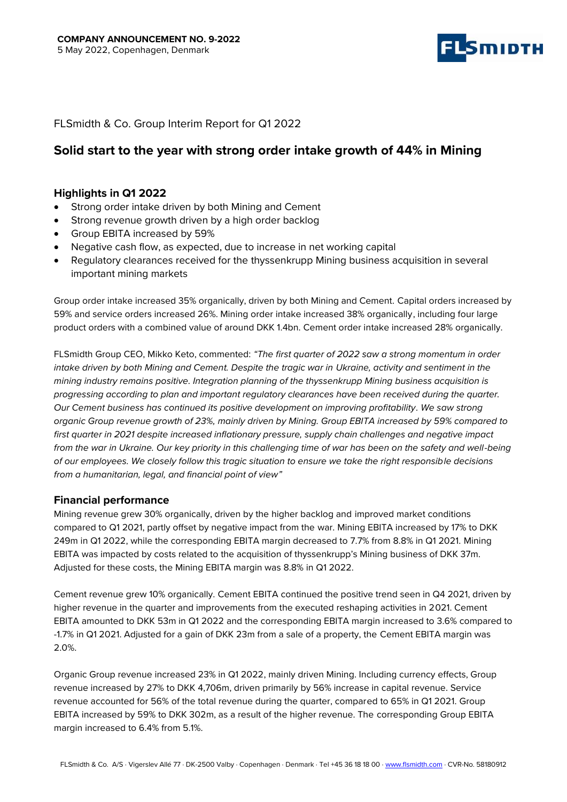

# FLSmidth & Co. Group Interim Report for Q1 2022

# **Solid start to the year with strong order intake growth of 44% in Mining**

## **Highlights in Q1 2022**

- Strong order intake driven by both Mining and Cement
- Strong revenue growth driven by a high order backlog
- Group EBITA increased by 59%
- Negative cash flow, as expected, due to increase in net working capital
- Regulatory clearances received for the thyssenkrupp Mining business acquisition in several important mining markets

Group order intake increased 35% organically, driven by both Mining and Cement. Capital orders increased by 59% and service orders increased 26%. Mining order intake increased 38% organically, including four large product orders with a combined value of around DKK 1.4bn. Cement order intake increased 28% organically.

FLSmidth Group CEO, Mikko Keto, commented: *"The first quarter of 2022 saw a strong momentum in order intake driven by both Mining and Cement. Despite the tragic war in Ukraine, activity and sentiment in the mining industry remains positive. Integration planning of the thyssenkrupp Mining business acquisition is progressing according to plan and important regulatory clearances have been received during the quarter. Our Cement business has continued its positive development on improving profitability. We saw strong organic Group revenue growth of 23%, mainly driven by Mining. Group EBITA increased by 59% compared to first quarter in 2021 despite increased inflationary pressure, supply chain challenges and negative impact from the war in Ukraine. Our key priority in this challenging time of war has been on the safety and well-being of our employees. We closely follow this tragic situation to ensure we take the right responsible decisions from a humanitarian, legal, and financial point of view"*

## **Financial performance**

Mining revenue grew 30% organically, driven by the higher backlog and improved market conditions compared to Q1 2021, partly offset by negative impact from the war. Mining EBITA increased by 17% to DKK 249m in Q1 2022, while the corresponding EBITA margin decreased to 7.7% from 8.8% in Q1 2021. Mining EBITA was impacted by costs related to the acquisition of thyssenkrupp's Mining business of DKK 37m. Adjusted for these costs, the Mining EBITA margin was 8.8% in Q1 2022.

Cement revenue grew 10% organically. Cement EBITA continued the positive trend seen in Q4 2021, driven by higher revenue in the quarter and improvements from the executed reshaping activities in 2021. Cement EBITA amounted to DKK 53m in Q1 2022 and the corresponding EBITA margin increased to 3.6% compared to -1.7% in Q1 2021. Adjusted for a gain of DKK 23m from a sale of a property, the Cement EBITA margin was 2.0%.

Organic Group revenue increased 23% in Q1 2022, mainly driven Mining. Including currency effects, Group revenue increased by 27% to DKK 4,706m, driven primarily by 56% increase in capital revenue. Service revenue accounted for 56% of the total revenue during the quarter, compared to 65% in Q1 2021. Group EBITA increased by 59% to DKK 302m, as a result of the higher revenue. The corresponding Group EBITA margin increased to 6.4% from 5.1%.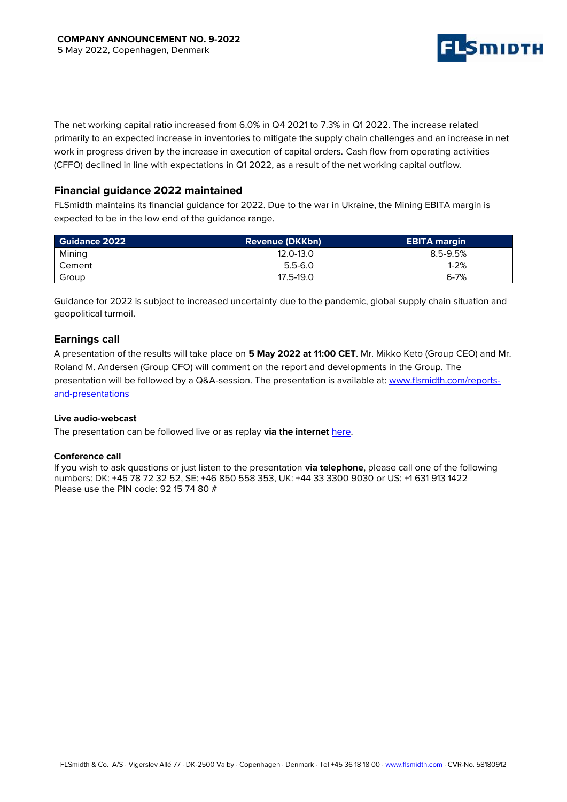

The net working capital ratio increased from 6.0% in Q4 2021 to 7.3% in Q1 2022. The increase related primarily to an expected increase in inventories to mitigate the supply chain challenges and an increase in net work in progress driven by the increase in execution of capital orders. Cash flow from operating activities (CFFO) declined in line with expectations in Q1 2022, as a result of the net working capital outflow.

## **Financial guidance 2022 maintained**

FLSmidth maintains its financial guidance for 2022. Due to the war in Ukraine, the Mining EBITA margin is expected to be in the low end of the guidance range.

| <b>Guidance 2022</b> | <b>Revenue (DKKbn)</b> | <b>EBITA margin</b> |
|----------------------|------------------------|---------------------|
| Mining               | 12.0-13.0              | $8.5 - 9.5%$        |
| Cement               | $5.5 - 6.0$            | $1 - 2%$            |
| Group                | 17.5-19.0              | $6 - 7%$            |

Guidance for 2022 is subject to increased uncertainty due to the pandemic, global supply chain situation and geopolitical turmoil.

## **Earnings call**

A presentation of the results will take place on **5 May 2022 at 11:00 CET**. Mr. Mikko Keto (Group CEO) and Mr. Roland M. Andersen (Group CFO) will comment on the report and developments in the Group. The presentation will be followed by a Q&A-session. The presentation is available at: [www.flsmidth.com/reports](https://eur02.safelinks.protection.outlook.com/?url=https%3A%2F%2Fwww.flsmidth.com%2Fen-gb%2Fcompany%2Finvestors%2Freports-and-presentations&data=04%7C01%7CTherese.Mollevinge%40FLSmidth.com%7Cc037ff12f0824b094eba08d9eb084cd5%7C5a783410682d4564b908bb78d5afb2fe%7C0%7C0%7C637799243148842508%7CUnknown%7CTWFpbGZsb3d8eyJWIjoiMC4wLjAwMDAiLCJQIjoiV2luMzIiLCJBTiI6Ik1haWwiLCJXVCI6Mn0%3D%7C3000&sdata=%2FplpGeqvp09rMWW%2BjAjqRFMgon4EzP9JYYLNYdXS7DM%3D&reserved=0)[and-presentations](https://eur02.safelinks.protection.outlook.com/?url=https%3A%2F%2Fwww.flsmidth.com%2Fen-gb%2Fcompany%2Finvestors%2Freports-and-presentations&data=04%7C01%7CTherese.Mollevinge%40FLSmidth.com%7Cc037ff12f0824b094eba08d9eb084cd5%7C5a783410682d4564b908bb78d5afb2fe%7C0%7C0%7C637799243148842508%7CUnknown%7CTWFpbGZsb3d8eyJWIjoiMC4wLjAwMDAiLCJQIjoiV2luMzIiLCJBTiI6Ik1haWwiLCJXVCI6Mn0%3D%7C3000&sdata=%2FplpGeqvp09rMWW%2BjAjqRFMgon4EzP9JYYLNYdXS7DM%3D&reserved=0)

### **Live audio-webcast**

The presentation can be followed live or as replay via the internet [here.](https://eur02.safelinks.protection.outlook.com/?url=https%3A%2F%2Fwww.flsmidth.com%2Fen-gb%2Fcompany%2Finvestors%2Fwebcasts&data=04%7C01%7CTherese.Mollevinge%40FLSmidth.com%7Cc037ff12f0824b094eba08d9eb084cd5%7C5a783410682d4564b908bb78d5afb2fe%7C0%7C0%7C637799243148842508%7CUnknown%7CTWFpbGZsb3d8eyJWIjoiMC4wLjAwMDAiLCJQIjoiV2luMzIiLCJBTiI6Ik1haWwiLCJXVCI6Mn0%3D%7C3000&sdata=3KbJKq5WDgW7R8KTxELSNlP3FP9jwNXwB54dUFOWalc%3D&reserved=0)

### **Conference call**

If you wish to ask questions or just listen to the presentation **via telephone**, please call one of the following numbers: DK: +45 78 72 32 52, SE: +46 850 558 353, UK: +44 33 3300 9030 or US: +1 631 913 1422 Please use the PIN code: 92 15 74 80 #